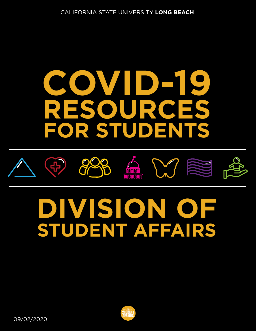# **COVID-19 RESOURCES FOR STUDENTS**











# **DIVISION OF STUDENT AFFAIRS**

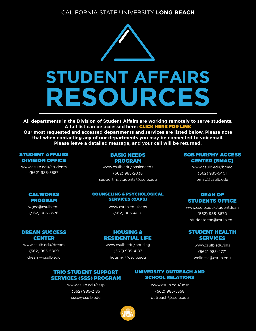

**All departments in the Division of Student Affairs are working remotely to serve students. A full list can be accessed here:** CLICK HERE FOR LINK

**Our most requested and accessed depart[ments and services are listed below](http://web.csulb.edu/divisions/students/documents/DSA_Programs_Services_ADA.pdf). Please note that when contacting any of our departments you may be connected to voicemail. Please leave a detailed message, and your call will be returned.**

#### STUDENT AFFAIRS DIVISION OFFICE

[www.csulb.edu/students](http://web.csulb.edu/divisions/students/)  (562) 985-5587

> CALWORKS PROGRAM [wgec@csulb.edu](mailto:wgec@csulb.edu)  (562) 985-8576

[DREAM SUCCESS](https://web.csulb.edu/divisions/students/dream/) CENTER www.csulb.edu/dream (562) 985-5869 [dream@csulb.edu](mailto:dream@csulb.edu)

#### BASIC NEEDS PROGRAM

[www.csulb.edu/basicneeds](https://web.csulb.edu/divisions/students/basic_needs_program/)  (562) 985-2038 [supportingstudents@csulb.edu](mailto:supportingstudents@csulb.edu)

#### COUNSELING & PSYCHOLOGICAL [SERVICES \(CAPS\)](http://web.csulb.edu/divisions/students/caps/)

www.csulb.edu/caps (562) 985-4001

#### HOUSING & [RESIDENTIAL LIFE](http://web.csulb.edu/divisions/students/housing/)

www.csulb.edu/housing (562) 985-4187 [housing@csulb.edu](mailto:housing@csulb.edu)

#### TRIO STUDENT SUPPORT [SERVICES \(SSS\) PROGRAM](https://web.csulb.edu/divisions/students/sssp/)

www.csulb.edu/sssp (562) 985-2185 [sssp@csulb.edu](mailto:ssp@csulb.edu)

#### [UNIVERSITY OUTREACH AND](http://web.csulb.edu/divisions/students/uosr/)  SCHOOL RELATIONS

www.csulb.edu/uosr (562) 985-5358 [outreach@csulb.edu](mailto:outreach@csulb.edu)

#### [BOB MURPHY ACCESS](http://web.csulb.edu/divisions/students/dss/)  CENTER (BMAC)

www.csulb.edu/bmac (562) 985-5401 [bmac@csulb.edu](mailto:bmac@csulb.edu)

#### DEAN OF [STUDENTS OFFICE](https://web.csulb.edu/divisions/students/studentdean/)

www.csulb.edu/studentdean (562) 985-8670 [studentdean@csulb.edu](mailto:studentdean@csulb.edu)

#### [STUDENT HEALTH](https://web.csulb.edu/divisions/students/shs/) **SERVICES**

www.csulb.edu/shs (562) 985-4771 [wellness@csulb.edu](mailto:wellness@csulb.edu)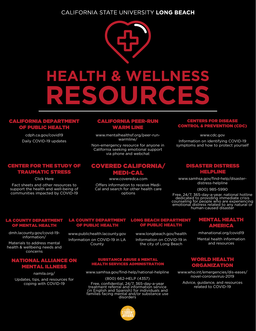

#### [CALIFORNIA DEPARTMENT](https://www.cdph.ca.gov/Programs/CID/DCDC/Pages/Immunization/ncov2019.aspx)  OF PUBLIC HEALTH

cdph.ca.gov/covid19 Daily COVID-19 updates

#### [CENTER FOR THE STUDY OF](https://www.cstsonline.org/resources/resource-master-list/coronavirus-and-emerging-infectious-disease-outbreaks-response)  **AUMATIC STRE**

Click Here

Fact sheets and other resources to support the health and well-being of communities impacted by COVID-19

#### [CALIFORNIA PEER-RUN](https://www.mentalhealthsf.org/peer-run-warmline/)  WARM LINE

www.mentalhealthsf.org/peer-runwarmline/

Non-emergency resource for anyone in California seeking emotional support via phone and webchat

#### [COVERED CALIFORNIA/](https://www.coveredca.com/) MEDI-CAL

www.coveredca.com

Offers information to receive Medi-Cal and search for other health care options

#### CENTERS FOR DISEASE [CONTROL & PREVENTION \(CDC\)](https://www.cdc.gov/)

www.cdc.gov

Information on identifying COVID-19 symptoms and how to protect yourself

#### DISASTER DISTRESS HELPLINE

www.samhsa.gov/find-help/disasterdistress-helpline

(800) 985-5990

Free, 24/7, 365-day-a-year, national hotline [dedicated to providing immediate crisis](https://www.samhsa.gov/find-help/disaster-distress-helpline) c[ounseling for people who are experiencin](https://www.samhsa.gov/find-help/disaster-distress-helpline)g emotional distress related to any natural or human-caused disaster

#### [LA COUNTY DEPARTMENT](https://dmh.lacounty.gov/covid-19-information/)  NTAL HEALTH

dmh.lacounty.gov/covid-19 information/

Materials to address mental health & wellbeing needs and concerns

#### [NATIONAL ALLIANCE ON](https://namila.org/)  **MENTAL ILLNE**S

namila.org/ Updates, tips, and resources for coping with COVID-19

#### [LA COUNTY DEPARTMENT](http://www.publichealth.lacounty.gov/)  **OF PUBLIC HEALTI**

www.publichealth.lacounty.gov Information on COVID-19 in LA County

www.longbeach.gov/health Information on COVID-19 in the city of Long Beach

#### [LONG BEACH DEPARTMENT](http://www.longbeach.gov/health)  **PUBLIC HEALT**

## mhanational.org/covid19

Mental health information and resources

[MENTAL HEALTH](https://mhanational.org/covid19) AMERICA

#### SUBSTANCE ABUSE & MENTAL HEALTH SERVICES ADMINISTRATION

www.samhsa.gov/find-help/national-helpline

#### (800) 662-HELP (4357)

Free, confidential, 24/7, 365-day-a-year treatment referral and information service (in English and Spanish) for individuals and [families facing mental and/or substance use disorders](https://www.samhsa.gov/find-help/national-helpline)



#### WORLD HEALTH **GANIZATIO**

[www.who.int/emergencies/dis-eases/](https://www.who.int/emergencies/diseases/novel-coronavirus-2019) novel-coronavirus-2019

Advice, guidance, and resources related to COVID-19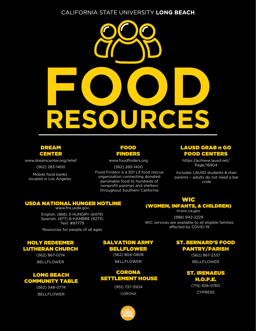

#### DREAM CENTER

[www.dreamcenter.org/relief](https://www.dreamcenter.org/relief/)

(562) 283-1400

Mobile food banks located in Los Angeles

#### FOOD FINDER

www.foodfinders.org

(562) 283-1400 [Food Finders is a 501 c3 food rescue](https://www.foodfinders.org/) organization connecting donated perishable food to hundreds of nonprofit pantries and shelters throughout Southern California

#### [LAUSD GRAB n GO](https://achieve.lausd.net/Page/16904)  FOOD CENTERS

https://achieve.lausd.net/ Page/16904

Includes LAUSD students & their parents – adults do not need a bar code

WIC [\(WOMEN, INFANTS, & CHILDREN\)](https://m.wic.ca.gov/) m.wic.ca.gov (888) 942-2229 WIC services are available to all eligible families affected by COVID-19

#### [USDA NATIONAL HUNGER HOTLINE](https://www.fns.usda.gov/)

www.fns.usda.gov English: (866) 3-HUNGRY (6479) Spanish: (877) 8-HAMBRE (6273) Text: #97779

Resources for people of all ages

#### HOLY REDEEMER LUTHERAN CHURCH

(562) 867-0714 **BELLFLOWER** 

#### LONG BEACH COMMUNITY TABLE

(562) 548-0774 BELLFLOWER

#### SALVATION ARMY BELLFLOWER

(562) 804-0808 BELLFLOWER

#### **CORONA** SETTLEMENT HOUSE

(951) 737-3504 **CORONA** 

#### ST. BERNARD'S FOOD PANTRY/PARISH

(562) 867-2337 BELLFLOWER

ST. IRENAEUS H.O.P.E.

> (714) 826-0760 CYPRESS

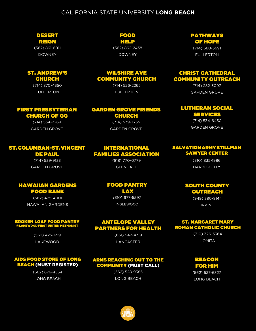#### DESERT REIGN

(562) 861-6011 DOWNEY

#### ST. ANDREW'S CHURCH

(714) 870-4350 FULLERTON

### FIRST PRESBYTERIAN

#### CHURCH OF GG (714) 534-2269

GARDEN GROVE

#### FOOD HELP

(562) 862-2438 DOWNEY

#### WILSHIRE AVE COMMUNITY CHURCH

(714) 526-2265 FULLERTON

#### GARDEN GROVE FRIENDS CHURCH

(714) 539-7735 GARDEN GROVE

INTERNATIONAL FAMILIES ASSOCIATION (818) 770-0779 GLENDALE

#### ST. COLUMBAN-ST. VINCENT

### DE PAUL

(714) 539-9133 GARDEN GROVE

HAWAIIAN GARDENS FOOD BANK (562) 425-4001 HAWAIIAN GARDENS

# FOOD PANTRY

(310) 677-5597 INGLEWOOD

ANTELOPE VALLEY PARTNERS FOR HEALTH (661) 942-4719 LANCASTER

### BROKEN LOAF FOOD PANTRY @LAKEWOOD FIRST UNITED METHODIST

(562) 425-1219 LAKEWOOD

#### AIDS FOOD STORE OF LONG BEACH (MUST REGISTER)

(562) 676-4554 LONG BEACH

#### ARMS REACHING OUT TO THE COMMUNITY (MUST CALL)

(562) 528-9385 LONG BEACH



#### PATHWAYS OF HOPE

(714) 680-3691 FULLERTON

#### CHRIST CATHEDRAL COMMUNITY OUTREACH

(714) 282-3097 GARDEN GROVE

#### LUTHERAN SOCIAL SERVICES

(714) 534-6450 GARDEN GROVE

#### SALVATION ARMY STILLMAN SAWYER CENTER

(310) 835-1986 HARBOR CITY

#### SOUTH COUNTY **OUTREACH**

(949) 380-8144 IRVINE

#### ST. MARGARET MARY ROMAN CATHOLIC CHURCH

(310) 326-3364 LOMITA

#### BEACON FOR HIM

(562) 537-6327 LONG BEACH

# LAX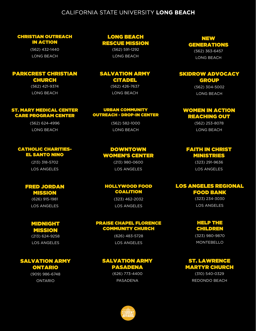#### CHRISTIAN OUTREACH IN ACTION

(562) 432-1440 LONG BEACH

#### PARKCREST CHRISTIAN

#### CHURCH

(562) 421-9374 LONG BEACH

#### ST. MARY MEDICAL CENTER CARE PROGRAM CENTER

(562) 624-4996 LONG BEACH

#### CATHOLIC CHARITIES-EL SANTO NINO

(213) 318-5702 LOS ANGELES

#### FRED JORDAN MISSION

(626) 915-1981 LOS ANGELES

#### MIDNIGHT MISSION

(213) 624-9258 LOS ANGELES

#### SALVATION ARMY ONTARIO

(909) 986-6748 ONTARIO

#### LONG BEACH RESCUE MISSION

(562) 591-1292 LONG BEACH

#### SALVATION ARMY CITADEL (562) 426-7637

LONG BEACH

#### URBAN COMMUNITY OUTREACH - DROP-IN CENTER

(562) 582-1000 LONG BEACH

#### DOWNTOWN WOMEN'S CENTER

(213) 980-0600 LOS ANGELES

#### HOLLYWOOD FOOD COALITION

(323) 462-2032 LOS ANGELES

#### PRAISE CHAPEL FLORENCE COMMUNITY CHURCH

(626) 483-5728 LOS ANGELES

#### SALVATION ARMY PASADENA

(626) 773-4400 PASADENA



#### NEW GENERATIONS

(562) 363-6457 LONG BEACH

#### SKIDROW ADVOCACY GROUP

(562) 304-5002 LONG BEACH

#### WOMEN IN ACTION REACHING OUT

(562) 253-8078 LONG BEACH

#### FAITH IN CHRIST MINISTRIES

(323) 291-9636 LOS ANGELES

#### LOS ANGELES REGIONAL FOOD BANK

(323) 234-3030 LOS ANGELES

#### HELP THE CHILDREN

(323) 980-9870 MONTEBELLO

#### ST. LAWRENCE MARTYR CHURCH

(310) 540-0329 REDONDO BEACH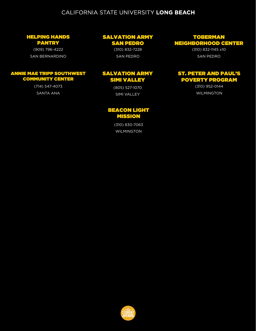#### HELPING HANDS PANTRY

(909) 796-4222 SAN BERNARDINO

#### ANNIE MAE TRIPP SOUTHWEST COMMUNITY CENTER

(714) 547-4073 SANTA ANA

#### SALVATION ARMY

SAN PEDRO

(310) 832-7228 SAN PEDRO

#### SALVATION ARMY SIMI VALLEY

(805) 527-1070 SIMI VALLEY

#### BEACON LIGHT MISSION

(310) 830-7063 WILMINGTON

#### TOBERMAN NEIGHBORHOOD CENTER

(310) 832-1145 x10 SAN PEDRO

#### ST. PETER AND PAUL'S POVERTY PROGRAM

(310) 952-0144 WILMINGTON

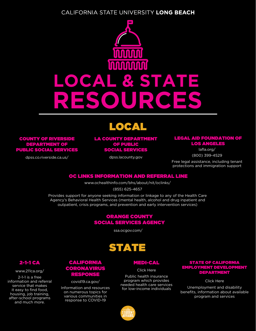

## LOCAL

COUNTY OF RIVERSIDE DEPARTMENT OF [PUBLIC SOCIAL SERVICES](http://dpss.co.riverside.ca.us/)

dpss.co.riverside.ca.us/

#### [LA COUNTY DEPARTMENT](https://dpss.lacounty.gov/)  OF PUBLIC SOCIAL SERVICES

dpss.lacounty.gov

#### [LEGAL AID FOUNDATION OF](https://lafla.org/)  LOS ANGELES

lafla.org/ (800) 399-4529

Free legal assistance, including tenant protections and immigration support

#### [OC LINKS INFORMATION AND REFERRAL LINE](https://www.ochealthinfo.com/bhs/about/nit/oclinks/)

www.ochealthinfo.com/bhs/about/nit/oclinks/

(855) 625-4657

Provides support for anyone seeking information or linkage to any of the Health Care Agency's Behavioral Health Services (mental health, alcohol and drug inpatient and outpatient, crisis programs, and prevention and early intervention services)

#### ORANGE COUNTY [SOCIAL SERVICES AGENCY](https://www.ssa.ocgov.com/)

ssa.ocgov.com/

## STATE

CALIFORNIA [CORONAVIRUS](https://covid19.ca.gov/)  RESPONSE covid19.ca.gov/ Information and resources on numerous topics for various communities in response to COVID-19

#### MEDI-CAL

Click Here

Public health insurance program which provides [needed health care services](https://www.dhcs.ca.gov/services/medi-cal/Pages/default.aspx)  for low-income individuals

#### STATE OF CALIFORNIA [EMPLOYMENT DEVELOPMENT](https://edd.ca.gov/about_edd/coronavirus-2019.htm) DEPARTMENT

Click Here

Unemployment and disability benefits, information about available program and services

#### 2-1-1 CA

www.211ca.org/

2-1-1 is a free [information and referral](https://www.211ca.org/)  service that makes it easy to find food, housing, job training, after-school programs and much more.

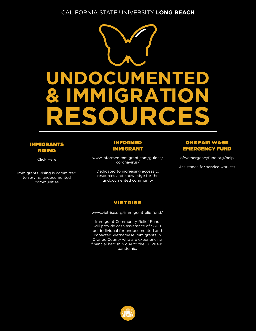

#### IMMIGRANTS RISING

Click Here

I[mmigrants Rising is committe](https://docs.google.com/document/d/1PxLuuH0-hwHXftUXuEi52Q1qWUDegN8_I1L4ulIFwzk/edit)d to serving undocumented communities

#### INFORMED IMMIGRANT

[www.informedimmigrant.com/guides/](https://www.informedimmigrant.com/guides/coronavirus/#) coronavirus/

Dedicated to increasing access to resources and knowledge for the undocumented community

#### ONE FAIR WAGE [EMERGENCY FUND](https://ofwemergencyfund.org/help)

ofwemergencyfund.org/help

Assistance for service workers

#### VIETRISE

www.vietrise.org/immigrantrelieffund/

Immigrant Community Relief Fund will provide cash assistance of \$800 per individual for undocumented and impacted Vietnamese immigrants in Orange County who are experiencing [financial hardship due to the COVID-19](https://vietrise.org/immigrantrelieffund/)  pandemic.

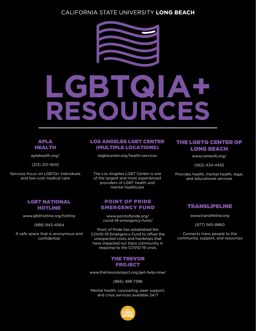

# **LGBTQIA+ ROU**

#### APLA HEALTH

aplahealth.org/

(213) 201-1600

Services [focus on LGBTQ+ in](https://aplahealth.org/)dividuals and low-cost medical care

#### [LOS ANGELES LGBT CENTER](https://lalgbtcenter.org/health-services)  (MULTIPLE LOCATIONS)

lalgbtcenter.org/health-services

The Los Angeles LGBT Center is one of the largest and most experienced providers of LGBT health and mental healthcare

#### POINT OF PRIDE [EMERGENCY FUND](https://pointofpride.org/covid-19-emergency-fund/)

www.pointofpride.org/ covid-19-emergency-fund/

Point of Pride has established the COVID-19 Emergency Fund to offset the unexpected costs and hardships that have impacted our trans community in response to the COVID-19 crisis.

#### THE TREVOR PROJECT

[www.thetrevorproject.org/get-help-now/](https://www.thetrevorproject.org/get-help-now/)

(866) 488-7386

Mental health, counseling, peer support, and crisis services available 24/7



#### [THE LGBTQ CENTER O](https://www.centerlb.org/)F LONG BEACH

www.centerlb.org/

(562) 434-4455

Provides health, mental health, legal, and educational services

#### [TRANSLIFELINE](https://translifeline.org/)

www.translifeline.org

(877) 565-8860

Connects trans people to the community, support, and resources

#### [LGBT NATIONAL](https://www.glbthotline.org/hotline.html) HOTLINE

www.glbthotline.org/hotline

(888) 843-4564

A safe space that is anonymous and confidential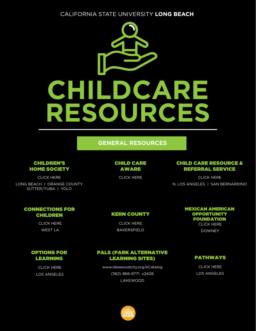

#### **GENERAL RESOURCES**

#### CHILDREN'S HOME SOCIETY

CLICK HERE

[LONG BEACH | ORANGE COUNTY](https://www.chs-ca.org/for-families/child-care-database) SUTTER/YUBA | YOLO

#### [CHILD CARE](https://www.childcareaware.org/resources/ccrr-search-form/) AWARE

CLICK HERE

#### [CHILD CARE RESOURCE &](https://www.ccrcca.org/parents/finding-child-care)  REFERRAL SERVICE

CLICK HERE N. LOS ANGELES | SAN BERNARDINO

#### [CONNECTIONS FOR](https://www.connectionsforchildren.org/families/child_care_referrals.html) CHILDREN

CLICK HERE WEST LA

#### [KERN COUNTY](https://kern.org/cccc/for-parents/child-care-referral-system/)

CLICK HERE BAKERSFIELD

#### [MEXICAN AMERICAN](http://www.maof.org/resource-referral/)  **OPPORTUNITY** FOUNDATION CLICK HERE

DOWNEY

#### [OPTIONS FOR](https://www.optionsforlearning.org/apps/pages/index.jsp?uREC_ID=311527&type=d&pREC_ID=718707) LEARNING

CLICK HERE LOS ANGELES

#### [PALS \(PARK ALTERNATIVE](https://apm.activecommunities.com/lakewoodecatalog/Home)  LEARNING SITES)

www.lakewoodcity.org/eCatalog (562) 866-9771 x2408 LAKEWOOD

#### [PATHWAYS](https://pathwaysla.org/contact/)

CLICK HERE LOS ANGELES